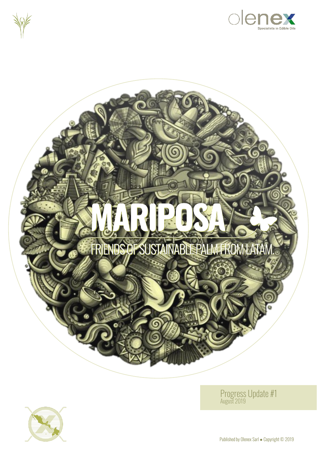







Progress Update #1 August 2019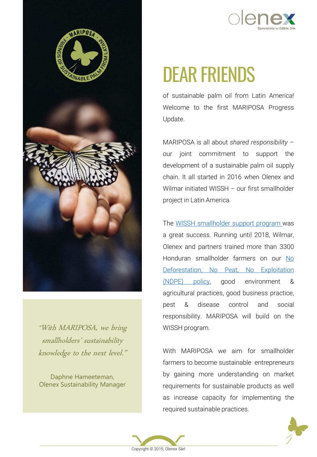



"With MARIPOSA, we bring smallholders' sustainability knowledge to the next level."

Daphne Hameeteman, Olenex Sustainability Manager

# DEAR FRIENDS

*of sustainable palm oil from Latin America! Welcome to the first MARIPOSA Progress Update.*

*MARIPOSA is all about shared responsibility – our joint commitment to support the development of a sustainable palm oil supply chain. It all started in 2016 when Olenex and Wilmar initiated WISSH – our first smallholder project in Latin America.*

*The WISSH [smallholder](https://spark.adobe.com/page/VJQGkH7ItNByM/) support program was a great success. Running until 2018, Wilmar, Olenex and partners trained more than 3300 Honduran smallholder farmers on our No [Deforestation,](http://www.olenex.com/palmsupplychain.html) No Peat, No Exploitation (NDPE) policy, good environment & agricultural practices, good business practice, pest & disease control and social responsibility. MARIPOSA will build on the WISSH program.*

*With MARIPOSA we aim for smallholder farmers to become sustainable entrepreneurs by gaining more understanding on market requirements for sustainable products as well as increase capacity for implementing the required sustainable practices.*



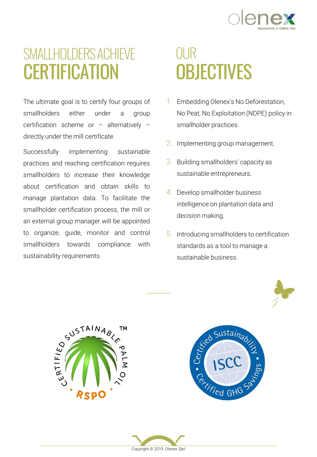

## SMALLHOLDERS ACHIEVE **CERTIFICATION**

*The ultimate goal is to certify four groups of smallholders either under a group certification scheme or – alternatively – directly under the mill certificate.*

*Successfully implementing sustainable practices and reaching certification requires smallholders to increase their knowledge about certification and obtain skills to manage plantation data. To facilitate the smallholder certification process, the mill or an external group manager will be appointed to organize, guide, monitor and control smallholders towards compliance with sustainability requirements.*

## OUR **OBJECTIVES**

- *1. Embedding Olenex's No Deforestation, No Peat, No Exploitation (NDPE) policy in smallholder practices.*
- *2. Implementing group management.*
- *3. Building smallholders' capacity as sustainable entrepreneurs.*
- *4. Develop smallholder business intelligence on plantation data and decision making.*
- *5. Introducing smallholders to certification standards as a tool to manage a sustainable business.*







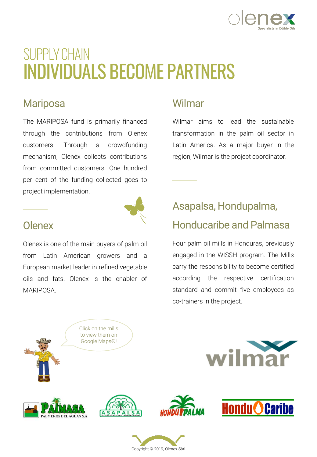

## SUPPLY CHAIN INDIVIDUALS BECOME PARTNERS

### **Mariposa**

*The MARIPOSA fund is primarily financed through the contributions from Olenex customers. Through a crowdfunding mechanism, Olenex collects contributions from committed customers. One hundred per cent of the funding collected goes to project implementation.*

### Wilmar

*Wilmar aims to lead the sustainable transformation in the palm oil sector in Latin America. As a major buyer in the region, Wilmar is the project coordinator.*



#### **Olenex**

*Olenex is one of the main buyers of palm oil from Latin American growers and a European market leader in refined vegetable oils and fats. Olenex is the enabler of MARIPOSA.*

## Asapalsa, Hondupalma, Honducaribe and Palmasa

*Four palm oil mills in Honduras, previously engaged in the WISSH program. The Mills carry the responsibility to become certified according the respective certification standard and commit five employees as co-trainers in the project.*



*Copyright © 2019, Olenex Sàrl*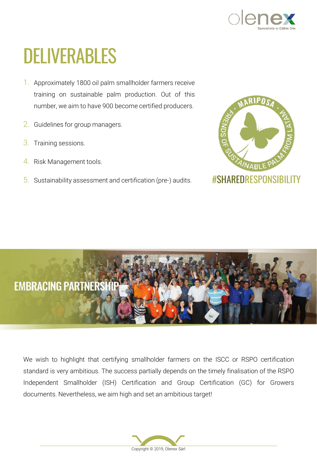

# DELIVERABLES

- *1. Approximately 1800 oil palm smallholder farmers receive training on sustainable palm production. Out of this number, we aim to have 900 become certified producers.*
- *2. Guidelines for group managers.*
- *3. Training sessions.*
- *4. Risk Management tools.*
- *5. Sustainability assessment and certification (pre-) audits.*





*We wish to highlight that certifying smallholder farmers on the ISCC or RSPO certification standard is very ambitious. The success partially depends on the timely finalisation of the RSPO Independent Smallholder (ISH) Certification and Group Certification (GC) for Growers documents. Nevertheless, we aim high and set an ambitious target!*

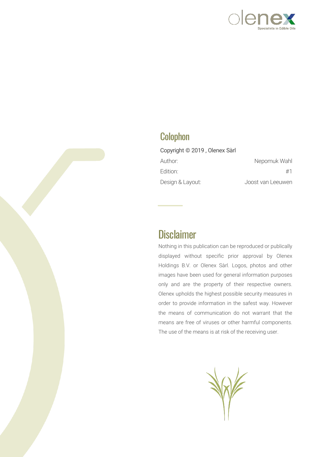

#### **Colophon**

| Copyright © 2019, Olenex Sàrl |                   |
|-------------------------------|-------------------|
| Author:                       | Nepomuk Wahl      |
| Edition:                      | #1                |
| Design & Layout:              | Joost van Leeuwen |

### **Disclaimer**

*Nothing in this publication can be reproduced or publically displayed without specific prior approval by Olenex Holdings B.V. or Olenex Sàrl. Logos, photos and other images have been used for general information purposes only and are the property of their respective owners. Olenex upholds the highest possible security measures in order to provide information in the safest way. However the means of communication do not warrant that the means are free of viruses or other harmful components. The use of the means is at risk of the receiving user.*

W